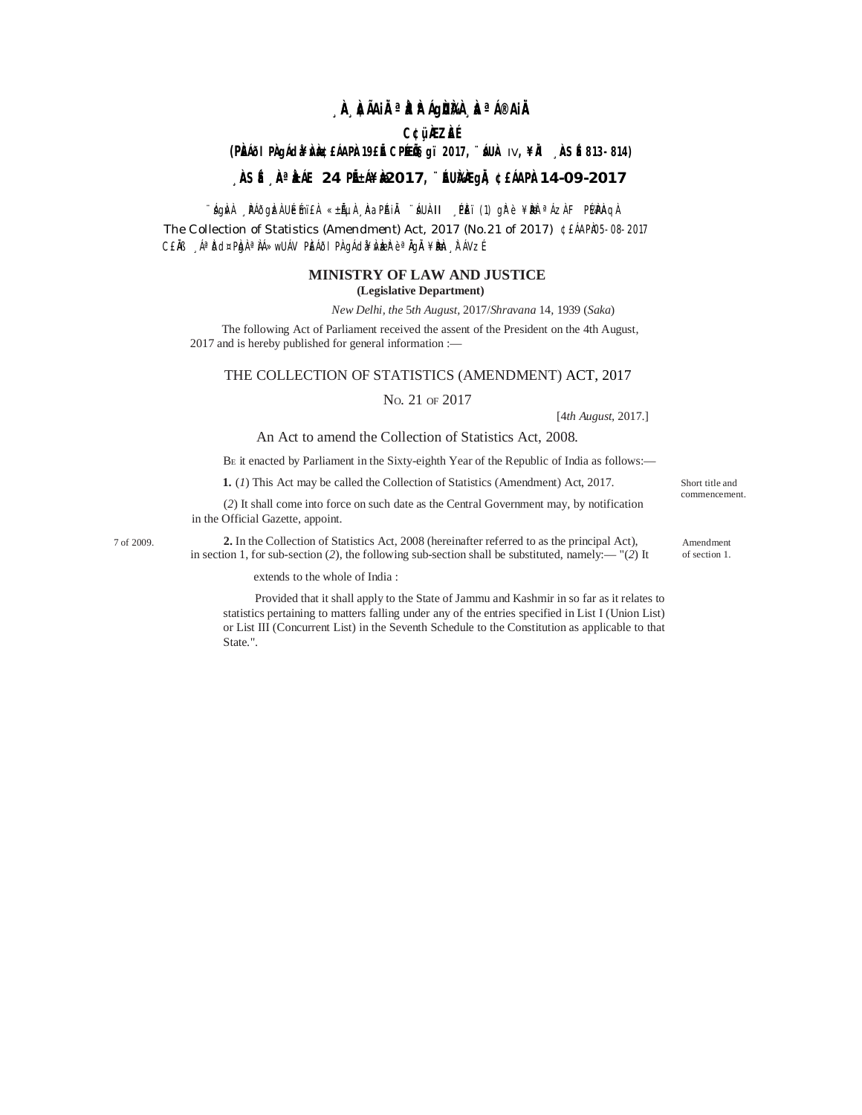# **¸ÀA¸À¢ÃAiÀÄ ªÀåªÀºÁgÀUÀ¼À ¸ÀaªÁ®AiÀÄ**

### **C¢ü¸ÀÆZÀ£É**

## **(PÀ£ÁðlPÀ gÁdå¥ÀvÀæ ¢£ÁAPÀ: 19£Éà CPÉÆÖçgï 2017, ¨sÁUÀ-** IV**, ¥ÀÄl ¸ÀASÉå: 813-814)**

## **¸ÀASÉå: ¸ÀAªÀå±ÁE 24 PÉñÁ¥Àæ 2017, ¨ÉAUÀ¼ÀÆgÀÄ, ¢£ÁAPÀ: 14-09-2017**

∵ágÀvÀ ¸ ÞÁðgÀzÀ UÉmï£À «±ÃµÀ¸ ÀaPÁIĂ ¨áUÀ-II ¸ PÈï (1) gÀ°è ¥ÀæÞ ªÁzÀ F PÁ⁄ÞÀAqÀ

The Collection of Statistics (Amendment) Act, 2017 (No.21 of 2017) ¢ £ÁAPÀ05-08-2017 C£ĂB "ÁªĎd¤PÀgÀªÀÁ»wUÁV PÈÁðIPÀ gÁdà¥Àv bæðè èªĂgÄ¥Ðbe, ÀTÁVzÉ

#### **MINISTRY OF LAW AND JUSTICE (Legislative Department)**

*New Delhi, the* 5*th August,* 2017/*Shravana* 14*,* 1939 (*Saka*)

The following Act of Parliament received the assent of the President on the 4th August, 2017 and is hereby published for general information :—

#### THE COLLECTION OF STATISTICS (AMENDMENT) ACT, 2017

NO. 21 OF 2017

[4*th August,* 2017.]

Short title and commencement.

Amendment of section 1.

#### An Act to amend the Collection of Statistics Act, 2008.

B<sup>E</sup> it enacted by Parliament in the Sixty-eighth Year of the Republic of India as follows:—

**1.** (*1*) This Act may be called the Collection of Statistics (Amendment) Act, 2017.

(*2*) It shall come into force on such date as the Central Government may, by notification in the Official Gazette, appoint.

7 of 2009. **2.** In the Collection of Statistics Act, 2008 (hereinafter referred to as the principal Act), in section 1, for sub-section (*2*), the following sub-section shall be substituted, namely:— "(*2*) It

extends to the whole of India :

Provided that it shall apply to the State of Jammu and Kashmir in so far as it relates to statistics pertaining to matters falling under any of the entries specified in List I (Union List) or List III (Concurrent List) in the Seventh Schedule to the Constitution as applicable to that State.".